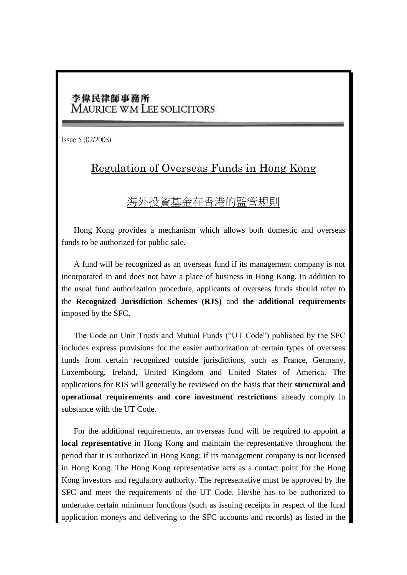## 李偉民律師事務所 **MAURICE WM LEE SOLICITORS**

Issue 5 (02/2008)

## Regulation of Overseas Funds in Hong Kong

## 海外投資基金在香港的監管規則

Hong Kong provides a mechanism which allows both domestic and overseas funds to be authorized for public sale.

A fund will be recognized as an overseas fund if its management company is not incorporated in and does not have a place of business in Hong Kong. In addition to the usual fund authorization procedure, applicants of overseas funds should refer to the **Recognized Jurisdiction Schemes (RJS)** and **the additional requirements** imposed by the SFC.

The Code on Unit Trusts and Mutual Funds ("UT Code") published by the SFC includes express provisions for the easier authorization of certain types of overseas funds from certain recognized outside jurisdictions, such as France, Germany, Luxembourg, Ireland, United Kingdom and United States of America. The applications for RJS will generally be reviewed on the basis that their **structural and operational requirements and core investment restrictions** already comply in substance with the UT Code.

For the additional requirements, an overseas fund will be required to appoint **a local representative** in Hong Kong and maintain the representative throughout the period that it is authorized in Hong Kong; if its management company is not licensed in Hong Kong. The Hong Kong representative acts as a contact point for the Hong Kong investors and regulatory authority. The representative must be approved by the SFC and meet the requirements of the UT Code. He/she has to be authorized to undertake certain minimum functions (such as issuing receipts in respect of the fund application moneys and delivering to the SFC accounts and records) as listed in the